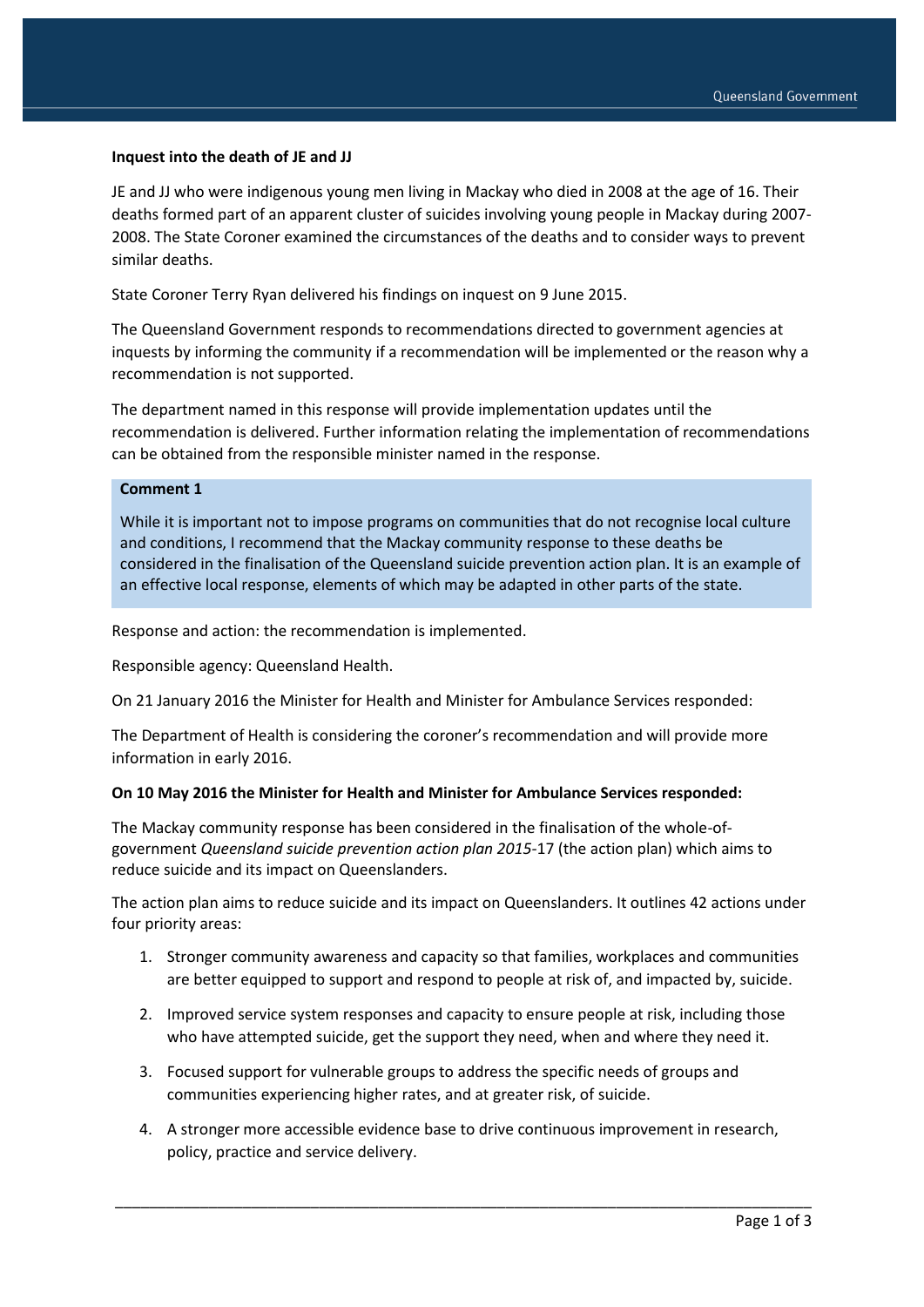### **Inquest into the death of JE and JJ**

JE and JJ who were indigenous young men living in Mackay who died in 2008 at the age of 16. Their deaths formed part of an apparent cluster of suicides involving young people in Mackay during 2007- 2008. The State Coroner examined the circumstances of the deaths and to consider ways to prevent similar deaths.

State Coroner Terry Ryan delivered his findings on inquest on 9 June 2015.

The Queensland Government responds to recommendations directed to government agencies at inquests by informing the community if a recommendation will be implemented or the reason why a recommendation is not supported.

The department named in this response will provide implementation updates until the recommendation is delivered. Further information relating the implementation of recommendations can be obtained from the responsible minister named in the response.

## **Comment 1**

While it is important not to impose programs on communities that do not recognise local culture and conditions, I recommend that the Mackay community response to these deaths be considered in the finalisation of the Queensland suicide prevention action plan. It is an example of an effective local response, elements of which may be adapted in other parts of the state.

Response and action: the recommendation is implemented.

Responsible agency: Queensland Health.

On 21 January 2016 the Minister for Health and Minister for Ambulance Services responded:

The Department of Health is considering the coroner's recommendation and will provide more information in early 2016.

#### **On 10 May 2016 the Minister for Health and Minister for Ambulance Services responded:**

The Mackay community response has been considered in the finalisation of the whole-ofgovernment *Queensland suicide prevention action plan 2015-*17 (the action plan) which aims to reduce suicide and its impact on Queenslanders.

The action plan aims to reduce suicide and its impact on Queenslanders. It outlines 42 actions under four priority areas:

- 1. Stronger community awareness and capacity so that families, workplaces and communities are better equipped to support and respond to people at risk of, and impacted by, suicide.
- 2. Improved service system responses and capacity to ensure people at risk, including those who have attempted suicide, get the support they need, when and where they need it.
- 3. Focused support for vulnerable groups to address the specific needs of groups and communities experiencing higher rates, and at greater risk, of suicide.
- 4. A stronger more accessible evidence base to drive continuous improvement in research, policy, practice and service delivery.

\_\_\_\_\_\_\_\_\_\_\_\_\_\_\_\_\_\_\_\_\_\_\_\_\_\_\_\_\_\_\_\_\_\_\_\_\_\_\_\_\_\_\_\_\_\_\_\_\_\_\_\_\_\_\_\_\_\_\_\_\_\_\_\_\_\_\_\_\_\_\_\_\_\_\_\_\_\_\_\_\_\_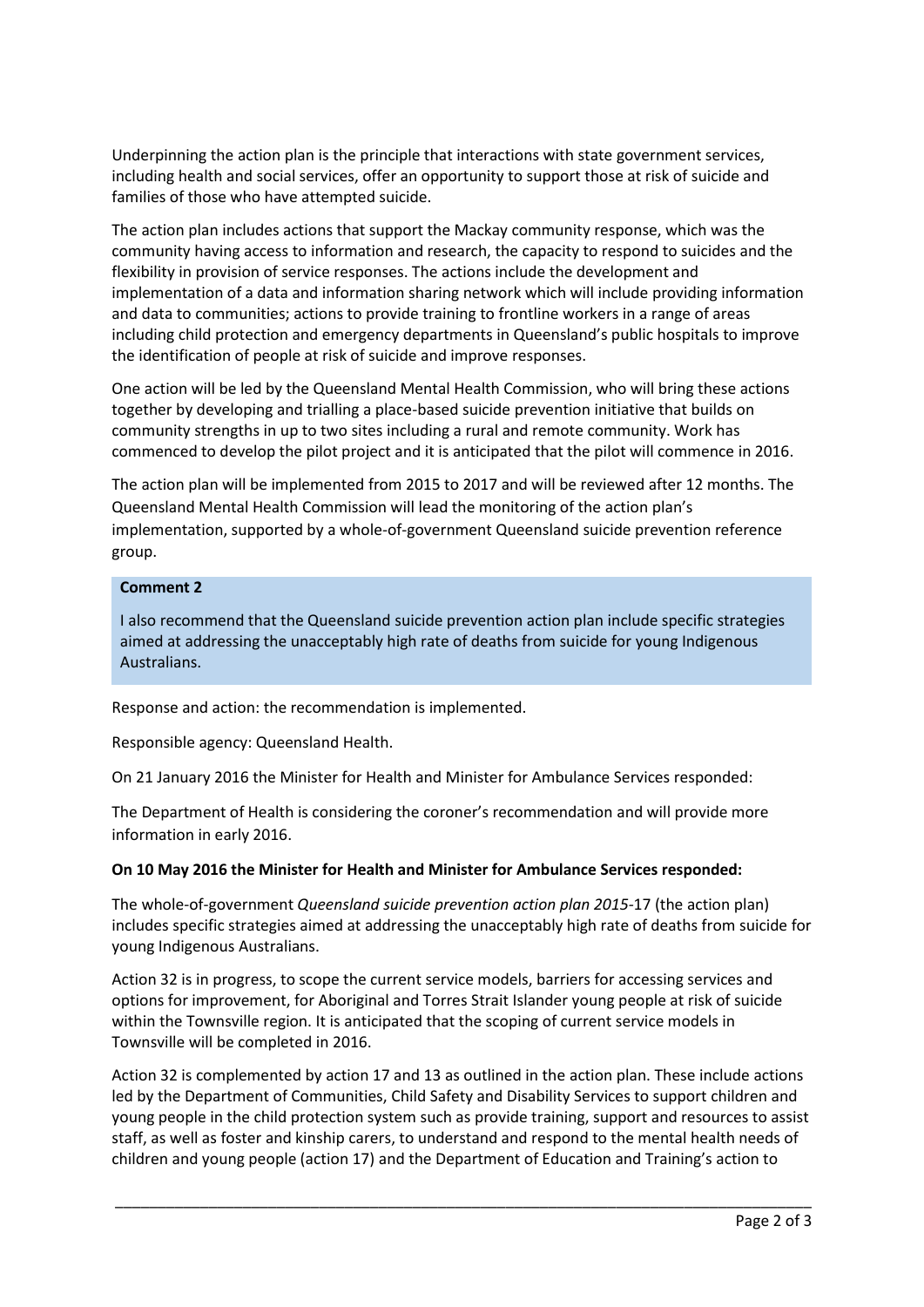Underpinning the action plan is the principle that interactions with state government services, including health and social services, offer an opportunity to support those at risk of suicide and families of those who have attempted suicide.

The action plan includes actions that support the Mackay community response, which was the community having access to information and research, the capacity to respond to suicides and the flexibility in provision of service responses. The actions include the development and implementation of a data and information sharing network which will include providing information and data to communities; actions to provide training to frontline workers in a range of areas including child protection and emergency departments in Queensland's public hospitals to improve the identification of people at risk of suicide and improve responses.

One action will be led by the Queensland Mental Health Commission, who will bring these actions together by developing and trialling a place-based suicide prevention initiative that builds on community strengths in up to two sites including a rural and remote community. Work has commenced to develop the pilot project and it is anticipated that the pilot will commence in 2016.

The action plan will be implemented from 2015 to 2017 and will be reviewed after 12 months. The Queensland Mental Health Commission will lead the monitoring of the action plan's implementation, supported by a whole-of-government Queensland suicide prevention reference group.

# **Comment 2**

I also recommend that the Queensland suicide prevention action plan include specific strategies aimed at addressing the unacceptably high rate of deaths from suicide for young Indigenous Australians.

Response and action: the recommendation is implemented.

Responsible agency: Queensland Health.

On 21 January 2016 the Minister for Health and Minister for Ambulance Services responded:

The Department of Health is considering the coroner's recommendation and will provide more information in early 2016.

### **On 10 May 2016 the Minister for Health and Minister for Ambulance Services responded:**

The whole-of-government *Queensland suicide prevention action plan 2015-*17 (the action plan) includes specific strategies aimed at addressing the unacceptably high rate of deaths from suicide for young Indigenous Australians.

Action 32 is in progress, to scope the current service models, barriers for accessing services and options for improvement, for Aboriginal and Torres Strait Islander young people at risk of suicide within the Townsville region. It is anticipated that the scoping of current service models in Townsville will be completed in 2016.

Action 32 is complemented by action 17 and 13 as outlined in the action plan. These include actions led by the Department of Communities, Child Safety and Disability Services to support children and young people in the child protection system such as provide training, support and resources to assist staff, as well as foster and kinship carers, to understand and respond to the mental health needs of children and young people (action 17) and the Department of Education and Training's action to

\_\_\_\_\_\_\_\_\_\_\_\_\_\_\_\_\_\_\_\_\_\_\_\_\_\_\_\_\_\_\_\_\_\_\_\_\_\_\_\_\_\_\_\_\_\_\_\_\_\_\_\_\_\_\_\_\_\_\_\_\_\_\_\_\_\_\_\_\_\_\_\_\_\_\_\_\_\_\_\_\_\_